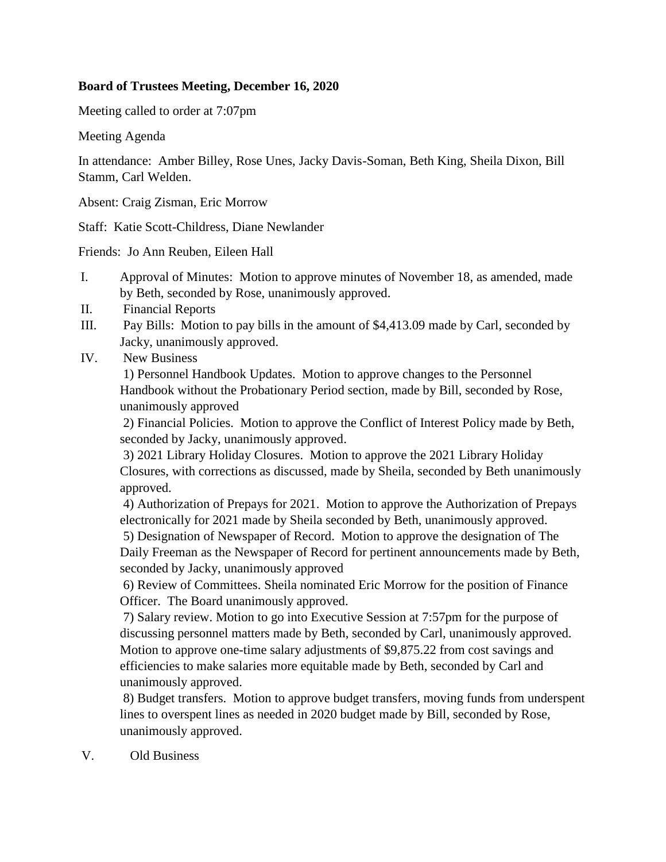## **Board of Trustees Meeting, December 16, 2020**

Meeting called to order at 7:07pm

Meeting Agenda

In attendance: Amber Billey, Rose Unes, Jacky Davis-Soman, Beth King, Sheila Dixon, Bill Stamm, Carl Welden.

Absent: Craig Zisman, Eric Morrow

Staff: Katie Scott-Childress, Diane Newlander

Friends: Jo Ann Reuben, Eileen Hall

- I. Approval of Minutes: Motion to approve minutes of November 18, as amended, made by Beth, seconded by Rose, unanimously approved.
- II. Financial Reports
- III. Pay Bills: Motion to pay bills in the amount of \$4,413.09 made by Carl, seconded by Jacky, unanimously approved.
- IV. New Business

1) Personnel Handbook Updates. Motion to approve changes to the Personnel Handbook without the Probationary Period section, made by Bill, seconded by Rose, unanimously approved

2) Financial Policies. Motion to approve the Conflict of Interest Policy made by Beth, seconded by Jacky, unanimously approved.

3) 2021 Library Holiday Closures. Motion to approve the 2021 Library Holiday Closures, with corrections as discussed, made by Sheila, seconded by Beth unanimously approved.

4) Authorization of Prepays for 2021. Motion to approve the Authorization of Prepays electronically for 2021 made by Sheila seconded by Beth, unanimously approved.

5) Designation of Newspaper of Record. Motion to approve the designation of The Daily Freeman as the Newspaper of Record for pertinent announcements made by Beth, seconded by Jacky, unanimously approved

6) Review of Committees. Sheila nominated Eric Morrow for the position of Finance Officer. The Board unanimously approved.

7) Salary review. Motion to go into Executive Session at 7:57pm for the purpose of discussing personnel matters made by Beth, seconded by Carl, unanimously approved. Motion to approve one-time salary adjustments of \$9,875.22 from cost savings and efficiencies to make salaries more equitable made by Beth, seconded by Carl and unanimously approved.

8) Budget transfers. Motion to approve budget transfers, moving funds from underspent lines to overspent lines as needed in 2020 budget made by Bill, seconded by Rose, unanimously approved.

V. Old Business